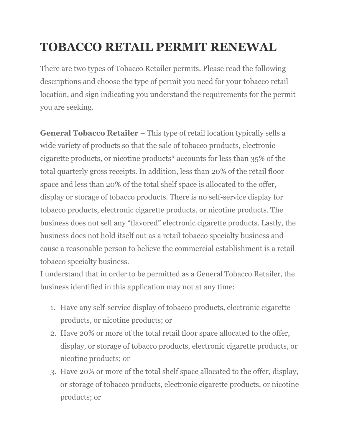# **TOBACCO RETAIL PERMIT RENEWAL**

There are two types of Tobacco Retailer permits. Please read the following descriptions and choose the type of permit you need for your tobacco retail location, and sign indicating you understand the requirements for the permit you are seeking.

General Tobacco Retailer - This type of retail location typically sells a wide variety of products so that the sale of tobacco products, electronic cigarette products, or nicotine products\* accounts for less than 35% of the total quarterly gross receipts. In addition, less than 20% of the retail floor space and less than 20% of the total shelf space is allocated to the offer, display or storage of tobacco products. There is no self-service display for tobacco products, electronic cigarette products, or nicotine products. The business does not sell any "flavored" electronic cigarette products. Lastly, the business does not hold itself out as a retail tobacco specialty business and cause a reasonable person to believe the commercial establishment is a retail tobacco specialty business.

I understand that in order to be permitted as a General Tobacco Retailer, the business identified in this application may not at any time:

- 1. Have any self-service display of tobacco products, electronic cigarette products, or nicotine products; or
- 2. Have 20% or more of the total retail floor space allocated to the offer, display, or storage of tobacco products, electronic cigarette products, or nicotine products; or
- 3. Have 20% or more of the total shelf space allocated to the offer, display, or storage of tobacco products, electronic cigarette products, or nicotine products; or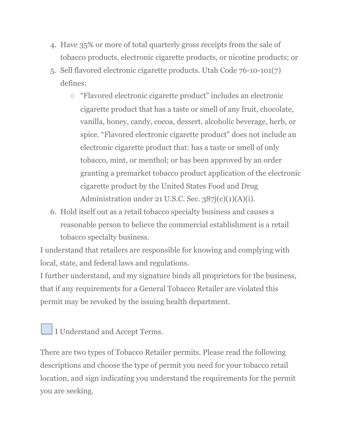- 4. Have 35% or more of total quarterly gross receipts from the sale of tobacco products, electronic cigarette products, or nicotine products; or
- 5. Sell flavored electronic cigarette products. Utah Code 76-10-101(7) defines:
	- "Flavored electronic cigarette product" includes an electronic cigarette product that has a taste or smell of any fruit, chocolate, vanilla, honey, candy, cocoa, dessert, alcoholic beverage, herb, or spice. "Flavored electronic cigarette product" does not include an electronic cigarette product that: has a taste or smell of only tobacco, mint, or menthol; or has been approved by an order granting a premarket tobacco product application of the electronic cigarette product by the United States Food and Drug Administration under 21 U.S.C. Sec.  $387j(c)(1)(A)(i)$ .
- 6. Hold itself out as a retail tobacco specialty business and causes a reasonable person to believe the commercial establishment is a retail tobacco specialty business.

I understand that retailers are responsible for knowing and complying with local, state, and federal laws and regulations.

I further understand, and my signature binds all proprietors for the business, that if any requirements for a General Tobacco Retailer are violated this permit may be revoked by the issuing health department.

I Understand and Accept Terms.

There are two types of Tobacco Retailer permits. Please read the following descriptions and choose the type of permit you need for your tobacco retail location, and sign indicating you understand the requirements for the permit you are seeking.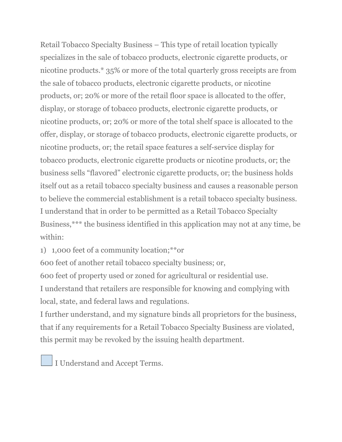Retail Tobacco Specialty Business – This type of retail location typically specializes in the sale of tobacco products, electronic cigarette products, or nicotine products.\* 35% or more of the total quarterly gross receipts are from the sale of tobacco products, electronic cigarette products, or nicotine products, or; 20% or more of the retail floor space is allocated to the offer, display, or storage of tobacco products, electronic cigarette products, or nicotine products, or; 20% or more of the total shelf space is allocated to the offer, display, or storage of tobacco products, electronic cigarette products, or nicotine products, or; the retail space features a self-service display for tobacco products, electronic cigarette products or nicotine products, or; the business sells "flavored" electronic cigarette products, or; the business holds itself out as a retail tobacco specialty business and causes a reasonable person to believe the commercial establishment is a retail tobacco specialty business. I understand that in order to be permitted as a Retail Tobacco Specialty Business,\*\*\* the business identified in this application may not at any time, be within:

1) 1,000 feet of a community location;\*\*or

600 feet of another retail tobacco specialty business; or,

600 feet of property used or zoned for agricultural or residential use.

I understand that retailers are responsible for knowing and complying with local, state, and federal laws and regulations.

I further understand, and my signature binds all proprietors for the business, that if any requirements for a Retail Tobacco Specialty Business are violated, this permit may be revoked by the issuing health department.

I Understand and Accept Terms.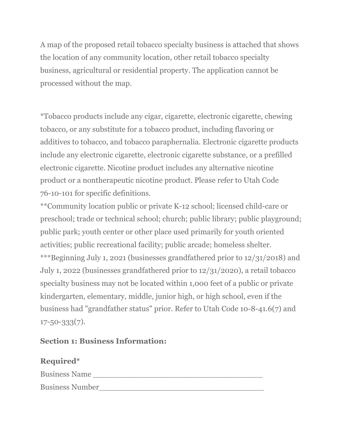A map of the proposed retail tobacco specialty business is attached that shows the location of any community location, other retail tobacco specialty business, agricultural or residential property. The application cannot be processed without the map.

\*Tobacco products include any cigar, cigarette, electronic cigarette, chewing tobacco, or any substitute for a tobacco product, including flavoring or additives to tobacco, and tobacco paraphernalia. Electronic cigarette products include any electronic cigarette, electronic cigarette substance, or a prefilled electronic cigarette. Nicotine product includes any alternative nicotine product or a nontherapeutic nicotine product. Please refer to Utah Code 76-10-101 for specific definitions.

\*\*Community location public or private K-12 school; licensed child-care or preschool; trade or technical school; church; public library; public playground; public park; youth center or other place used primarily for youth oriented activities; public recreational facility; public arcade; homeless shelter. \*\*\*Beginning July 1, 2021 (businesses grandfathered prior to 12/31/2018) and July 1, 2022 (businesses grandfathered prior to 12/31/2020), a retail tobacco specialty business may not be located within 1,000 feet of a public or private kindergarten, elementary, middle, junior high, or high school, even if the business had "grandfather status" prior. Refer to Utah Code 10-8-41.6(7) and  $17 - 50 - 333(7)$ .

## **Section 1: Business Information:**

## **Required\***

Business Name \_\_\_\_\_\_\_\_\_\_\_\_\_\_\_\_\_\_\_\_\_\_\_\_\_\_\_\_\_\_\_\_\_\_\_

Business Number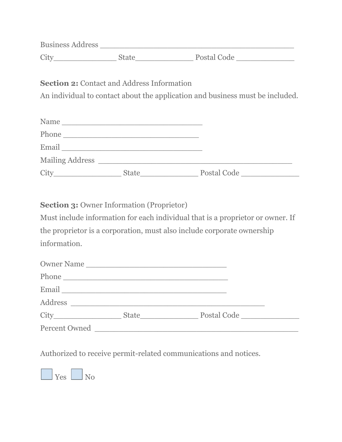| <b>Business Address</b> |             |
|-------------------------|-------------|
| City                    | Postal Code |

**Section 2:** Contact and Address Information

An individual to contact about the application and business must be included.

| Name                   |              |             |  |
|------------------------|--------------|-------------|--|
| Phone                  |              |             |  |
| Email                  |              |             |  |
| <b>Mailing Address</b> |              |             |  |
| City                   | <b>State</b> | Postal Code |  |

**Section 3:** Owner Information (Proprietor)

Must include information for each individual that is a proprietor or owner. If the proprietor is a corporation, must also include corporate ownership information.

| Owner Name                                                                                                     |                                       |             |  |
|----------------------------------------------------------------------------------------------------------------|---------------------------------------|-------------|--|
|                                                                                                                |                                       |             |  |
| Email 2008 - 2008 - 2010 - 2010 - 2010 - 2010 - 2010 - 2010 - 2010 - 2010 - 2010 - 2010 - 2010 - 2010 - 2010 - |                                       |             |  |
|                                                                                                                |                                       |             |  |
|                                                                                                                | <b>State</b><br><u> Alban a San A</u> | Postal Code |  |
| Percent Owned                                                                                                  |                                       |             |  |

Authorized to receive permit-related communications and notices.

**No** Yes No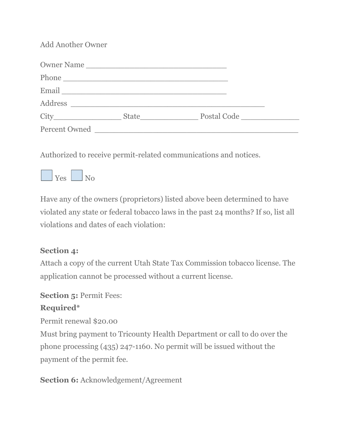Add Another Owner

| Owner Name                                                                                                     |                               |  |
|----------------------------------------------------------------------------------------------------------------|-------------------------------|--|
|                                                                                                                |                               |  |
| Email 2008 - 2008 - 2010 - 2010 - 2010 - 2010 - 2010 - 2010 - 2010 - 2010 - 2010 - 2010 - 2010 - 2010 - 2010 - |                               |  |
|                                                                                                                |                               |  |
|                                                                                                                | Postal Code _________________ |  |
| Percent Owned                                                                                                  |                               |  |

Authorized to receive permit-related communications and notices.



Have any of the owners (proprietors) listed above been determined to have violated any state or federal tobacco laws in the past 24 months? If so, list all violations and dates of each violation:

## **Section 4:**

Attach a copy of the current Utah State Tax Commission tobacco license. The application cannot be processed without a current license.

### **Section 5:** Permit Fees:

## **Required\***

Permit renewal \$20.00

Must bring payment to Tricounty Health Department or call to do over the phone processing (435) 247-1160. No permit will be issued without the payment of the permit fee.

## **Section 6:** Acknowledgement/Agreement